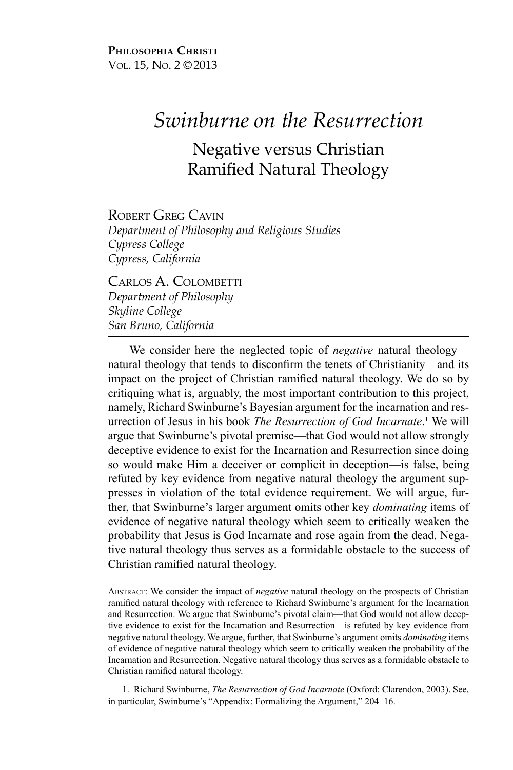**Philosophia Christi** Vol. 15, No. 2 ©2013

# *Swinburne on the Resurrection*

## Negative versus Christian Ramified Natural Theology

ROBERT GREG CAVIN *Department of Philosophy and Religious Studies Cypress College Cypress, California*

Carlos A. Colombetti *Department of Philosophy Skyline College San Bruno, California*

We consider here the neglected topic of *negative* natural theology natural theology that tends to disconfirm the tenets of Christianity—and its impact on the project of Christian ramified natural theology. We do so by critiquing what is, arguably, the most important contribution to this project, namely, Richard Swinburne's Bayesian argument for the incarnation and resurrection of Jesus in his book *The Resurrection of God Incarnate*. 1 We will argue that Swinburne's pivotal premise—that God would not allow strongly deceptive evidence to exist for the Incarnation and Resurrection since doing so would make Him a deceiver or complicit in deception—is false, being refuted by key evidence from negative natural theology the argument suppresses in violation of the total evidence requirement. We will argue, further, that Swinburne's larger argument omits other key *dominating* items of evidence of negative natural theology which seem to critically weaken the probability that Jesus is God Incarnate and rose again from the dead. Negative natural theology thus serves as a formidable obstacle to the success of Christian ramified natural theology.

Abstract: We consider the impact of *negative* natural theology on the prospects of Christian ramified natural theology with reference to Richard Swinburne's argument for the Incarnation and Resurrection. We argue that Swinburne's pivotal claim—that God would not allow deceptive evidence to exist for the Incarnation and Resurrection—is refuted by key evidence from negative natural theology. We argue, further, that Swinburne's argument omits *dominating* items of evidence of negative natural theology which seem to critically weaken the probability of the Incarnation and Resurrection. Negative natural theology thus serves as a formidable obstacle to Christian ramified natural theology.

1. Richard Swinburne, *The Resurrection of God Incarnate* (Oxford: Clarendon, 2003). See, in particular, Swinburne's "Appendix: Formalizing the Argument," 204–16.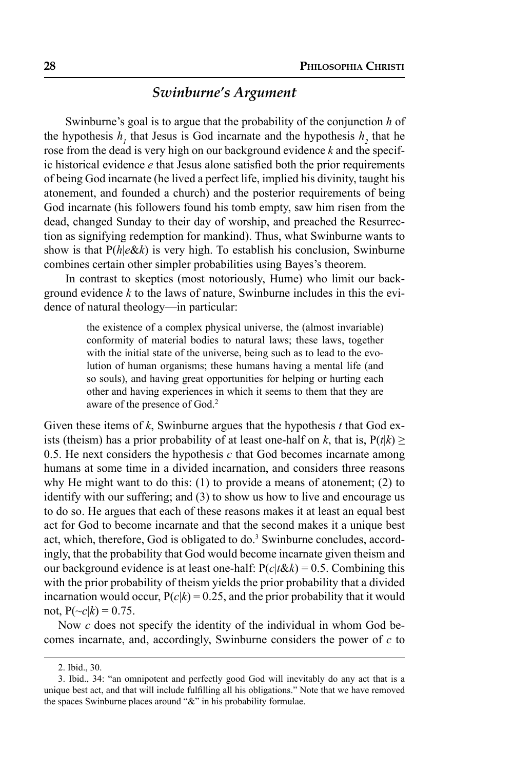#### *Swinburne's Argument*

Swinburne's goal is to argue that the probability of the conjunction *h* of the hypothesis  $h_1$  that Jesus is God incarnate and the hypothesis  $h_2$  that he rose from the dead is very high on our background evidence *k* and the specific historical evidence *e* that Jesus alone satisfied both the prior requirements of being God incarnate (he lived a perfect life, implied his divinity, taught his atonement, and founded a church) and the posterior requirements of being God incarnate (his followers found his tomb empty, saw him risen from the dead, changed Sunday to their day of worship, and preached the Resurrection as signifying redemption for mankind). Thus, what Swinburne wants to show is that P(*h*|*e*&*k*) is very high. To establish his conclusion, Swinburne combines certain other simpler probabilities using Bayes's theorem.

In contrast to skeptics (most notoriously, Hume) who limit our background evidence *k* to the laws of nature, Swinburne includes in this the evidence of natural theology—in particular:

> the existence of a complex physical universe, the (almost invariable) conformity of material bodies to natural laws; these laws, together with the initial state of the universe, being such as to lead to the evolution of human organisms; these humans having a mental life (and so souls), and having great opportunities for helping or hurting each other and having experiences in which it seems to them that they are aware of the presence of God.2

Given these items of *k*, Swinburne argues that the hypothesis *t* that God exists (theism) has a prior probability of at least one-half on *k*, that is,  $P(t|k) \ge$ 0.5. He next considers the hypothesis *c* that God becomes incarnate among humans at some time in a divided incarnation, and considers three reasons why He might want to do this: (1) to provide a means of atonement; (2) to identify with our suffering; and (3) to show us how to live and encourage us to do so. He argues that each of these reasons makes it at least an equal best act for God to become incarnate and that the second makes it a unique best act, which, therefore, God is obligated to do.<sup>3</sup> Swinburne concludes, accordingly, that the probability that God would become incarnate given theism and our background evidence is at least one-half:  $P(c|t \& k) = 0.5$ . Combining this with the prior probability of theism yields the prior probability that a divided incarnation would occur,  $P(c|k) = 0.25$ , and the prior probability that it would not,  $P(\sim c|k) = 0.75$ .

Now *c* does not specify the identity of the individual in whom God becomes incarnate, and, accordingly, Swinburne considers the power of *c* to

<sup>2.</sup> Ibid., 30.

<sup>3.</sup> Ibid., 34: "an omnipotent and perfectly good God will inevitably do any act that is a unique best act, and that will include fulfilling all his obligations." Note that we have removed the spaces Swinburne places around "&" in his probability formulae.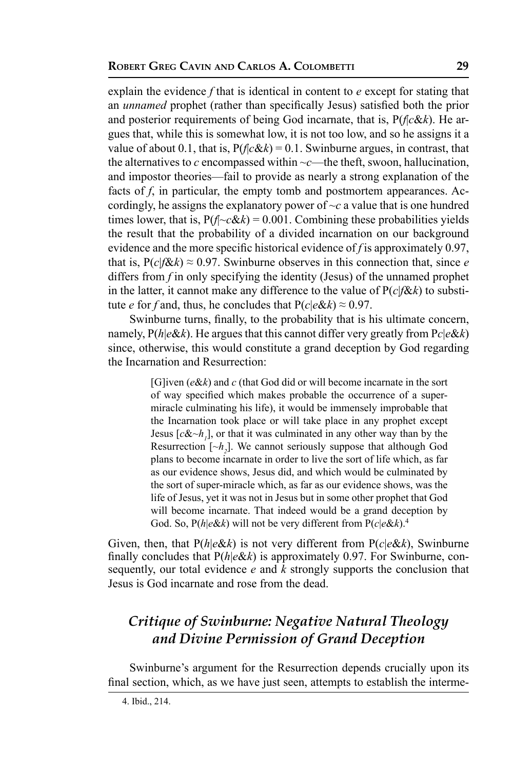explain the evidence *f* that is identical in content to *e* except for stating that an *unnamed* prophet (rather than specifically Jesus) satisfied both the prior and posterior requirements of being God incarnate, that is, P(*f*|*c*&*k*). He argues that, while this is somewhat low, it is not too low, and so he assigns it a value of about 0.1, that is,  $P(f|c\&k) = 0.1$ . Swinburne argues, in contrast, that the alternatives to  $c$  encompassed within  $\neg c$ —the theft, swoon, hallucination, and impostor theories—fail to provide as nearly a strong explanation of the facts of *f*, in particular, the empty tomb and postmortem appearances. Accordingly, he assigns the explanatory power of  $\sim c$  a value that is one hundred times lower, that is,  $P(f \sim c \& k) = 0.001$ . Combining these probabilities yields the result that the probability of a divided incarnation on our background evidence and the more specific historical evidence of *f* is approximately 0.97, that is,  $P(c|f \& k) \approx 0.97$ . Swinburne observes in this connection that, since *e* differs from *f* in only specifying the identity (Jesus) of the unnamed prophet in the latter, it cannot make any difference to the value of  $P(c|f\&k)$  to substitute *e* for *f* and, thus, he concludes that  $P(c|e \& k) \approx 0.97$ .

Swinburne turns, finally, to the probability that is his ultimate concern, namely,  $P(h|e\&k)$ . He argues that this cannot differ very greatly from  $Pc|e\&k)$ since, otherwise, this would constitute a grand deception by God regarding the Incarnation and Resurrection:

> [G]iven (*e*&*k*) and *c* (that God did or will become incarnate in the sort of way specified which makes probable the occurrence of a supermiracle culminating his life), it would be immensely improbable that the Incarnation took place or will take place in any prophet except Jesus  $[c\, or that it was culminated in any other way than by the$ Resurrection  $[\sim h_2]$ . We cannot seriously suppose that although God plans to become incarnate in order to live the sort of life which, as far as our evidence shows, Jesus did, and which would be culminated by the sort of super-miracle which, as far as our evidence shows, was the life of Jesus, yet it was not in Jesus but in some other prophet that God will become incarnate. That indeed would be a grand deception by God. So, P(*h*|*e*&*k*) will not be very different from P(*c*|*e*&*k*).4

Given, then, that P(*h*|*e*&*k*) is not very different from P(*c*|*e*&*k*), Swinburne finally concludes that P(*h*|*e*&*k*) is approximately 0.97. For Swinburne, consequently, our total evidence *e* and *k* strongly supports the conclusion that Jesus is God incarnate and rose from the dead.

### *Critique of Swinburne: Negative Natural Theology and Divine Permission of Grand Deception*

Swinburne's argument for the Resurrection depends crucially upon its final section, which, as we have just seen, attempts to establish the interme-

<sup>4.</sup> Ibid., 214.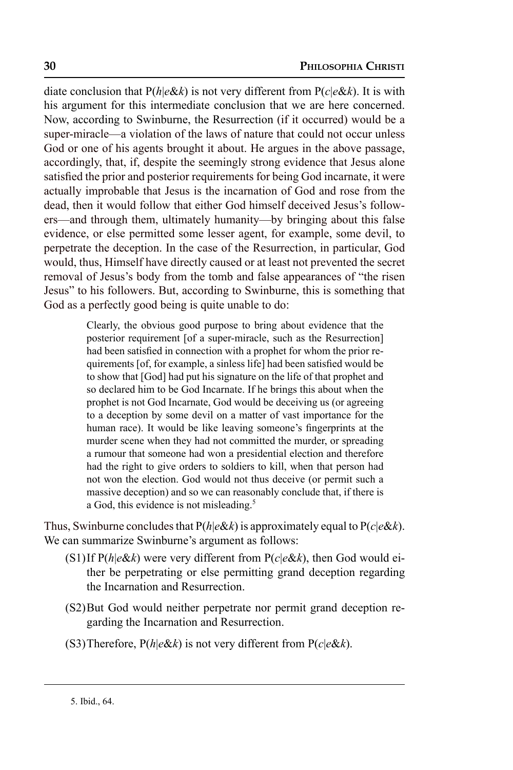diate conclusion that P(*h*|*e*&*k*) is not very different from P(*c*|*e*&*k*). It is with his argument for this intermediate conclusion that we are here concerned. Now, according to Swinburne, the Resurrection (if it occurred) would be a super-miracle—a violation of the laws of nature that could not occur unless God or one of his agents brought it about. He argues in the above passage, accordingly, that, if, despite the seemingly strong evidence that Jesus alone satisfied the prior and posterior requirements for being God incarnate, it were actually improbable that Jesus is the incarnation of God and rose from the dead, then it would follow that either God himself deceived Jesus's followers—and through them, ultimately humanity—by bringing about this false evidence, or else permitted some lesser agent, for example, some devil, to perpetrate the deception. In the case of the Resurrection, in particular, God would, thus, Himself have directly caused or at least not prevented the secret removal of Jesus's body from the tomb and false appearances of "the risen Jesus" to his followers. But, according to Swinburne, this is something that God as a perfectly good being is quite unable to do:

> Clearly, the obvious good purpose to bring about evidence that the posterior requirement [of a super-miracle, such as the Resurrection] had been satisfied in connection with a prophet for whom the prior requirements [of, for example, a sinless life] had been satisfied would be to show that [God] had put his signature on the life of that prophet and so declared him to be God Incarnate. If he brings this about when the prophet is not God Incarnate, God would be deceiving us (or agreeing to a deception by some devil on a matter of vast importance for the human race). It would be like leaving someone's fingerprints at the murder scene when they had not committed the murder, or spreading a rumour that someone had won a presidential election and therefore had the right to give orders to soldiers to kill, when that person had not won the election. God would not thus deceive (or permit such a massive deception) and so we can reasonably conclude that, if there is a God, this evidence is not misleading.<sup>5</sup>

Thus, Swinburne concludes that  $P(h|e\&k)$  is approximately equal to  $P(c|e\&k)$ . We can summarize Swinburne's argument as follows:

- (S1)If P(*h*|*e*&*k*) were very different from P(*c*|*e*&*k*), then God would either be perpetrating or else permitting grand deception regarding the Incarnation and Resurrection.
- (S2)But God would neither perpetrate nor permit grand deception regarding the Incarnation and Resurrection.
- (S3)Therefore, P(*h*|*e*&*k*) is not very different from P(*c*|*e*&*k*).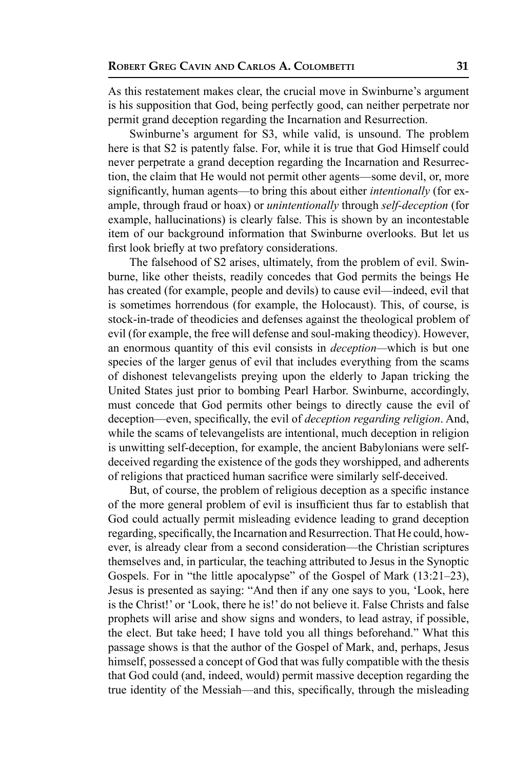As this restatement makes clear, the crucial move in Swinburne's argument is his supposition that God, being perfectly good, can neither perpetrate nor permit grand deception regarding the Incarnation and Resurrection.

Swinburne's argument for S3, while valid, is unsound. The problem here is that S2 is patently false. For, while it is true that God Himself could never perpetrate a grand deception regarding the Incarnation and Resurrection, the claim that He would not permit other agents—some devil, or, more significantly, human agents—to bring this about either *intentionally* (for example, through fraud or hoax) or *unintentionally* through *self-deception* (for example, hallucinations) is clearly false. This is shown by an incontestable item of our background information that Swinburne overlooks. But let us first look briefly at two prefatory considerations.

The falsehood of S2 arises, ultimately, from the problem of evil. Swinburne, like other theists, readily concedes that God permits the beings He has created (for example, people and devils) to cause evil—indeed, evil that is sometimes horrendous (for example, the Holocaust). This, of course, is stock-in-trade of theodicies and defenses against the theological problem of evil (for example, the free will defense and soul-making theodicy). However, an enormous quantity of this evil consists in *deception—*which is but one species of the larger genus of evil that includes everything from the scams of dishonest televangelists preying upon the elderly to Japan tricking the United States just prior to bombing Pearl Harbor. Swinburne, accordingly, must concede that God permits other beings to directly cause the evil of deception—even, specifically, the evil of *deception regarding religion*. And, while the scams of televangelists are intentional, much deception in religion is unwitting self-deception, for example, the ancient Babylonians were selfdeceived regarding the existence of the gods they worshipped, and adherents of religions that practiced human sacrifice were similarly self-deceived.

But, of course, the problem of religious deception as a specific instance of the more general problem of evil is insufficient thus far to establish that God could actually permit misleading evidence leading to grand deception regarding, specifically, the Incarnation and Resurrection. That He could, however, is already clear from a second consideration—the Christian scriptures themselves and, in particular, the teaching attributed to Jesus in the Synoptic Gospels. For in "the little apocalypse" of the Gospel of Mark (13:21–23), Jesus is presented as saying: "And then if any one says to you, 'Look, here is the Christ!' or 'Look, there he is!' do not believe it. False Christs and false prophets will arise and show signs and wonders, to lead astray, if possible, the elect. But take heed; I have told you all things beforehand." What this passage shows is that the author of the Gospel of Mark, and, perhaps, Jesus himself, possessed a concept of God that was fully compatible with the thesis that God could (and, indeed, would) permit massive deception regarding the true identity of the Messiah—and this, specifically, through the misleading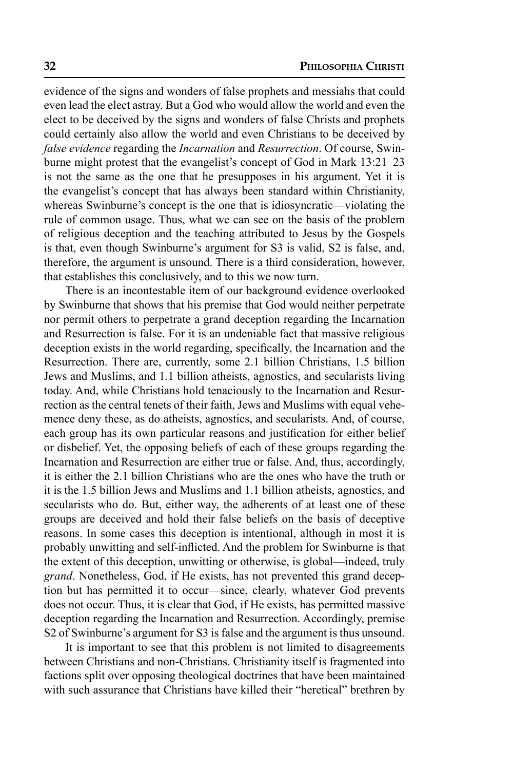evidence of the signs and wonders of false prophets and messiahs that could even lead the elect astray. But a God who would allow the world and even the elect to be deceived by the signs and wonders of false Christs and prophets could certainly also allow the world and even Christians to be deceived by *false evidence* regarding the *Incarnation* and *Resurrection*. Of course, Swinburne might protest that the evangelist's concept of God in Mark 13:21–23 is not the same as the one that he presupposes in his argument. Yet it is the evangelist's concept that has always been standard within Christianity, whereas Swinburne's concept is the one that is idiosyncratic—violating the rule of common usage. Thus, what we can see on the basis of the problem of religious deception and the teaching attributed to Jesus by the Gospels is that, even though Swinburne's argument for S3 is valid, S2 is false, and, therefore, the argument is unsound. There is a third consideration, however, that establishes this conclusively, and to this we now turn.

There is an incontestable item of our background evidence overlooked by Swinburne that shows that his premise that God would neither perpetrate nor permit others to perpetrate a grand deception regarding the Incarnation and Resurrection is false. For it is an undeniable fact that massive religious deception exists in the world regarding, specifically, the Incarnation and the Resurrection. There are, currently, some 2.1 billion Christians, 1.5 billion Jews and Muslims, and 1.1 billion atheists, agnostics, and secularists living today. And, while Christians hold tenaciously to the Incarnation and Resurrection as the central tenets of their faith, Jews and Muslims with equal vehemence deny these, as do atheists, agnostics, and secularists. And, of course, each group has its own particular reasons and justification for either belief or disbelief. Yet, the opposing beliefs of each of these groups regarding the Incarnation and Resurrection are either true or false. And, thus, accordingly, it is either the 2.1 billion Christians who are the ones who have the truth or it is the 1.5 billion Jews and Muslims and 1.1 billion atheists, agnostics, and secularists who do. But, either way, the adherents of at least one of these groups are deceived and hold their false beliefs on the basis of deceptive reasons. In some cases this deception is intentional, although in most it is probably unwitting and self-inflicted. And the problem for Swinburne is that the extent of this deception, unwitting or otherwise, is global—indeed, truly *grand*. Nonetheless, God, if He exists, has not prevented this grand deception but has permitted it to occur—since, clearly, whatever God prevents does not occur. Thus, it is clear that God, if He exists, has permitted massive deception regarding the Incarnation and Resurrection. Accordingly, premise S2 of Swinburne's argument for S3 is false and the argument is thus unsound.

It is important to see that this problem is not limited to disagreements between Christians and non-Christians. Christianity itself is fragmented into factions split over opposing theological doctrines that have been maintained with such assurance that Christians have killed their "heretical" brethren by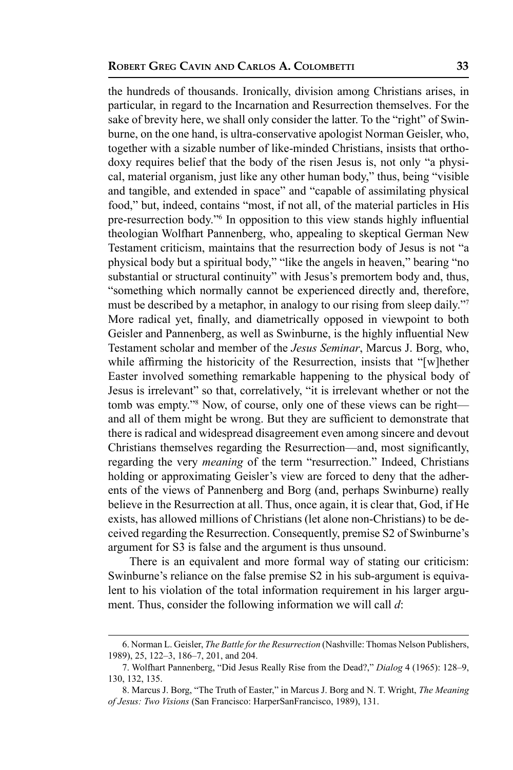the hundreds of thousands. Ironically, division among Christians arises, in particular, in regard to the Incarnation and Resurrection themselves. For the sake of brevity here, we shall only consider the latter. To the "right" of Swinburne, on the one hand, is ultra-conservative apologist Norman Geisler, who, together with a sizable number of like-minded Christians, insists that orthodoxy requires belief that the body of the risen Jesus is, not only "a physical, material organism, just like any other human body," thus, being "visible and tangible, and extended in space" and "capable of assimilating physical food," but, indeed, contains "most, if not all, of the material particles in His pre-resurrection body."6 In opposition to this view stands highly influential theologian Wolfhart Pannenberg, who, appealing to skeptical German New Testament criticism, maintains that the resurrection body of Jesus is not "a physical body but a spiritual body," "like the angels in heaven," bearing "no substantial or structural continuity" with Jesus's premortem body and, thus, "something which normally cannot be experienced directly and, therefore, must be described by a metaphor, in analogy to our rising from sleep daily."7 More radical yet, finally, and diametrically opposed in viewpoint to both Geisler and Pannenberg, as well as Swinburne, is the highly influential New Testament scholar and member of the *Jesus Seminar*, Marcus J. Borg, who, while affirming the historicity of the Resurrection, insists that "[w]hether Easter involved something remarkable happening to the physical body of Jesus is irrelevant" so that, correlatively, "it is irrelevant whether or not the tomb was empty."<sup>8</sup> Now, of course, only one of these views can be right and all of them might be wrong. But they are sufficient to demonstrate that there is radical and widespread disagreement even among sincere and devout Christians themselves regarding the Resurrection—and, most significantly, regarding the very *meaning* of the term "resurrection." Indeed, Christians holding or approximating Geisler's view are forced to deny that the adherents of the views of Pannenberg and Borg (and, perhaps Swinburne) really believe in the Resurrection at all. Thus, once again, it is clear that, God, if He exists, has allowed millions of Christians (let alone non-Christians) to be deceived regarding the Resurrection. Consequently, premise S2 of Swinburne's argument for S3 is false and the argument is thus unsound.

There is an equivalent and more formal way of stating our criticism: Swinburne's reliance on the false premise S2 in his sub-argument is equivalent to his violation of the total information requirement in his larger argument. Thus, consider the following information we will call *d*:

<sup>6.</sup> Norman L. Geisler, *The Battle for the Resurrection* (Nashville: Thomas Nelson Publishers, 1989), 25, 122–3, 186–7, 201, and 204.

<sup>7.</sup> Wolfhart Pannenberg, "Did Jesus Really Rise from the Dead?," *Dialog* 4 (1965): 128–9, 130, 132, 135.

<sup>8.</sup> Marcus J. Borg, "The Truth of Easter," in Marcus J. Borg and N. T. Wright, *The Meaning of Jesus: Two Visions* (San Francisco: HarperSanFrancisco, 1989), 131.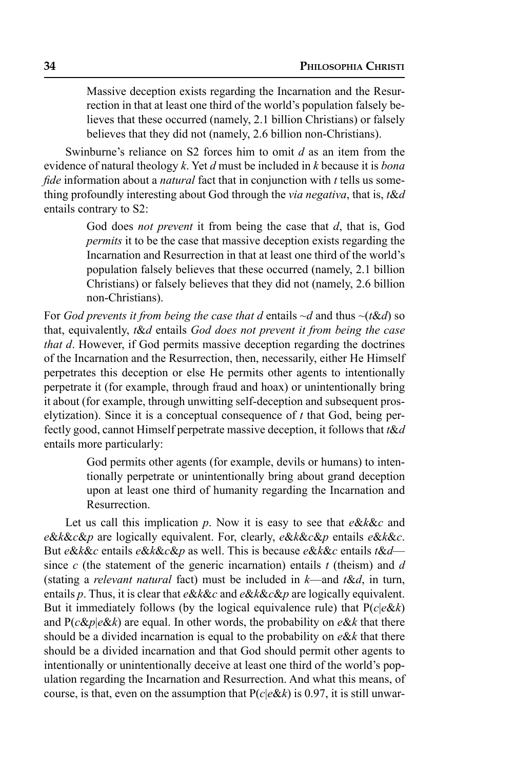Massive deception exists regarding the Incarnation and the Resurrection in that at least one third of the world's population falsely believes that these occurred (namely, 2.1 billion Christians) or falsely believes that they did not (namely, 2.6 billion non-Christians).

Swinburne's reliance on S2 forces him to omit *d* as an item from the evidence of natural theology *k*. Yet *d* must be included in *k* because it is *bona fide* information about a *natural* fact that in conjunction with *t* tells us something profoundly interesting about God through the *via negativa*, that is, *t*&*d* entails contrary to S2:

> God does *not prevent* it from being the case that *d*, that is, God *permits* it to be the case that massive deception exists regarding the Incarnation and Resurrection in that at least one third of the world's population falsely believes that these occurred (namely, 2.1 billion Christians) or falsely believes that they did not (namely, 2.6 billion non-Christians).

For *God prevents it from being the case that d* entails  $\neg d$  and thus  $\neg$ ( $\alpha d$ ) so that, equivalently, *t*&*d* entails *God does not prevent it from being the case that d.* However, if God permits massive deception regarding the doctrines of the Incarnation and the Resurrection, then, necessarily, either He Himself perpetrates this deception or else He permits other agents to intentionally perpetrate it (for example, through fraud and hoax) or unintentionally bring it about (for example, through unwitting self-deception and subsequent proselytization). Since it is a conceptual consequence of *t* that God, being perfectly good, cannot Himself perpetrate massive deception, it follows that *t*&*d* entails more particularly:

> God permits other agents (for example, devils or humans) to intentionally perpetrate or unintentionally bring about grand deception upon at least one third of humanity regarding the Incarnation and Resurrection.

Let us call this implication *p*. Now it is easy to see that *e*&*k*&*c* and *e*&*k*&*c*&*p* are logically equivalent. For, clearly, *e*&*k*&*c*&*p* entails *e*&*k*&*c*. But *e*&*k*&*c* entails *e*&*k*&*c*&*p* as well. This is because *e*&*k*&*c* entails *t*&*d* since *c* (the statement of the generic incarnation) entails *t* (theism) and *d* (stating a *relevant natural* fact) must be included in *k*—and *t*&*d*, in turn, entails *p*. Thus, it is clear that *e*&*k*&*c* and *e*&*k*&*c*&*p* are logically equivalent. But it immediately follows (by the logical equivalence rule) that P(*c*|*e*&*k*) and P(*c*&*p*|*e*&*k*) are equal. In other words, the probability on *e*&*k* that there should be a divided incarnation is equal to the probability on *e*&*k* that there should be a divided incarnation and that God should permit other agents to intentionally or unintentionally deceive at least one third of the world's population regarding the Incarnation and Resurrection. And what this means, of course, is that, even on the assumption that  $P(c|e \& k)$  is 0.97, it is still unwar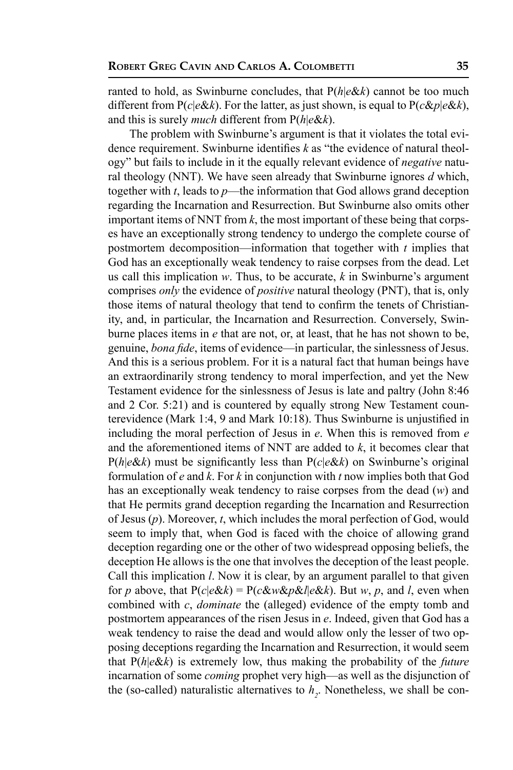ranted to hold, as Swinburne concludes, that P(*h*|*e*&*k*) cannot be too much different from P(*c*|*e*&*k*). For the latter, as just shown, is equal to P(*c*&*p*|*e*&*k*), and this is surely *much* different from P(*h*|*e*&*k*).

The problem with Swinburne's argument is that it violates the total evidence requirement. Swinburne identifies *k* as "the evidence of natural theology" but fails to include in it the equally relevant evidence of *negative* natural theology (NNT). We have seen already that Swinburne ignores *d* which, together with *t*, leads to *p*—the information that God allows grand deception regarding the Incarnation and Resurrection. But Swinburne also omits other important items of NNT from *k*, the most important of these being that corpses have an exceptionally strong tendency to undergo the complete course of postmortem decomposition—information that together with *t* implies that God has an exceptionally weak tendency to raise corpses from the dead. Let us call this implication *w*. Thus, to be accurate, *k* in Swinburne's argument comprises *only* the evidence of *positive* natural theology (PNT), that is, only those items of natural theology that tend to confirm the tenets of Christianity, and, in particular, the Incarnation and Resurrection. Conversely, Swinburne places items in *e* that are not, or, at least, that he has not shown to be, genuine, *bona fide*, items of evidence—in particular, the sinlessness of Jesus. And this is a serious problem. For it is a natural fact that human beings have an extraordinarily strong tendency to moral imperfection, and yet the New Testament evidence for the sinlessness of Jesus is late and paltry (John 8:46 and 2 Cor. 5:21) and is countered by equally strong New Testament counterevidence (Mark 1:4, 9 and Mark 10:18). Thus Swinburne is unjustified in including the moral perfection of Jesus in *e*. When this is removed from *e* and the aforementioned items of NNT are added to *k*, it becomes clear that P(*h*|*e*&*k*) must be significantly less than P(*c*|*e*&*k*) on Swinburne's original formulation of *e* and *k*. For *k* in conjunction with *t* now implies both that God has an exceptionally weak tendency to raise corpses from the dead (*w*) and that He permits grand deception regarding the Incarnation and Resurrection of Jesus (*p*). Moreover, *t*, which includes the moral perfection of God, would seem to imply that, when God is faced with the choice of allowing grand deception regarding one or the other of two widespread opposing beliefs, the deception He allows is the one that involves the deception of the least people. Call this implication *l*. Now it is clear, by an argument parallel to that given for *p* above, that  $P(c|e\&k) = P(c\&w\&p\&k|e\&k)$ . But *w*, *p*, and *l*, even when combined with *c*, *dominate* the (alleged) evidence of the empty tomb and postmortem appearances of the risen Jesus in *e*. Indeed, given that God has a weak tendency to raise the dead and would allow only the lesser of two opposing deceptions regarding the Incarnation and Resurrection, it would seem that P(*h*|*e*&*k*) is extremely low, thus making the probability of the *future* incarnation of some *coming* prophet very high—as well as the disjunction of the (so-called) naturalistic alternatives to  $h_2$ . Nonetheless, we shall be con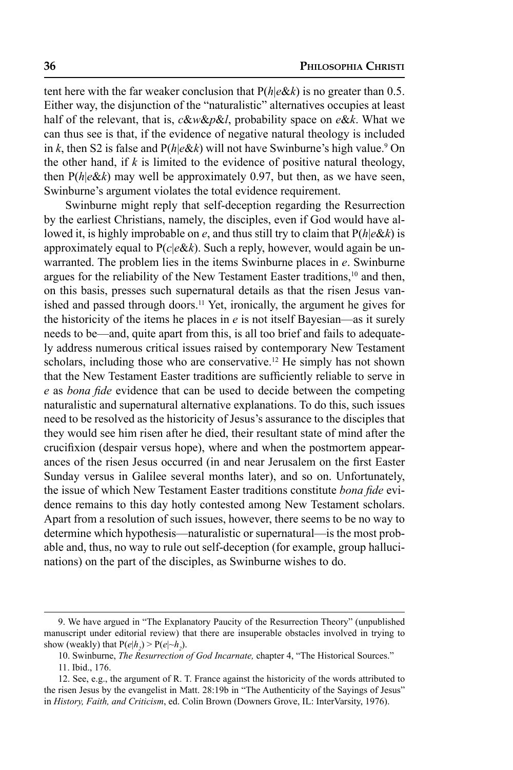tent here with the far weaker conclusion that P(*h*|*e*&*k*) is no greater than 0.5. Either way, the disjunction of the "naturalistic" alternatives occupies at least half of the relevant, that is, *c*&*w*&*p*&*l*, probability space on *e*&*k*. What we can thus see is that, if the evidence of negative natural theology is included in *k*, then S2 is false and  $P(h|e\&k)$  will not have Swinburne's high value.<sup>9</sup> On the other hand, if *k* is limited to the evidence of positive natural theology, then P(*h*|*e*&*k*) may well be approximately 0.97, but then, as we have seen, Swinburne's argument violates the total evidence requirement.

Swinburne might reply that self-deception regarding the Resurrection by the earliest Christians, namely, the disciples, even if God would have allowed it, is highly improbable on *e*, and thus still try to claim that P(*h*|*e*&*k*) is approximately equal to P(*c*|*e*&*k*). Such a reply, however, would again be unwarranted. The problem lies in the items Swinburne places in *e*. Swinburne argues for the reliability of the New Testament Easter traditions,<sup>10</sup> and then, on this basis, presses such supernatural details as that the risen Jesus vanished and passed through doors.<sup>11</sup> Yet, ironically, the argument he gives for the historicity of the items he places in *e* is not itself Bayesian—as it surely needs to be—and, quite apart from this, is all too brief and fails to adequately address numerous critical issues raised by contemporary New Testament scholars, including those who are conservative.<sup>12</sup> He simply has not shown that the New Testament Easter traditions are sufficiently reliable to serve in *e* as *bona fide* evidence that can be used to decide between the competing naturalistic and supernatural alternative explanations. To do this, such issues need to be resolved as the historicity of Jesus's assurance to the disciples that they would see him risen after he died, their resultant state of mind after the crucifixion (despair versus hope), where and when the postmortem appearances of the risen Jesus occurred (in and near Jerusalem on the first Easter Sunday versus in Galilee several months later), and so on. Unfortunately, the issue of which New Testament Easter traditions constitute *bona fide* evidence remains to this day hotly contested among New Testament scholars. Apart from a resolution of such issues, however, there seems to be no way to determine which hypothesis—naturalistic or supernatural—is the most probable and, thus, no way to rule out self-deception (for example, group hallucinations) on the part of the disciples, as Swinburne wishes to do.

<sup>9.</sup> We have argued in "The Explanatory Paucity of the Resurrection Theory" (unpublished manuscript under editorial review) that there are insuperable obstacles involved in trying to show (weakly) that  $P(e|h_2) > P(e|\sim h_2)$ .

<sup>10.</sup> Swinburne, *The Resurrection of God Incarnate,* chapter 4, "The Historical Sources."

<sup>11.</sup> Ibid., 176.

<sup>12.</sup> See, e.g., the argument of R. T. France against the historicity of the words attributed to the risen Jesus by the evangelist in Matt. 28:19b in "The Authenticity of the Sayings of Jesus" in *History, Faith, and Criticism*, ed. Colin Brown (Downers Grove, IL: InterVarsity, 1976).